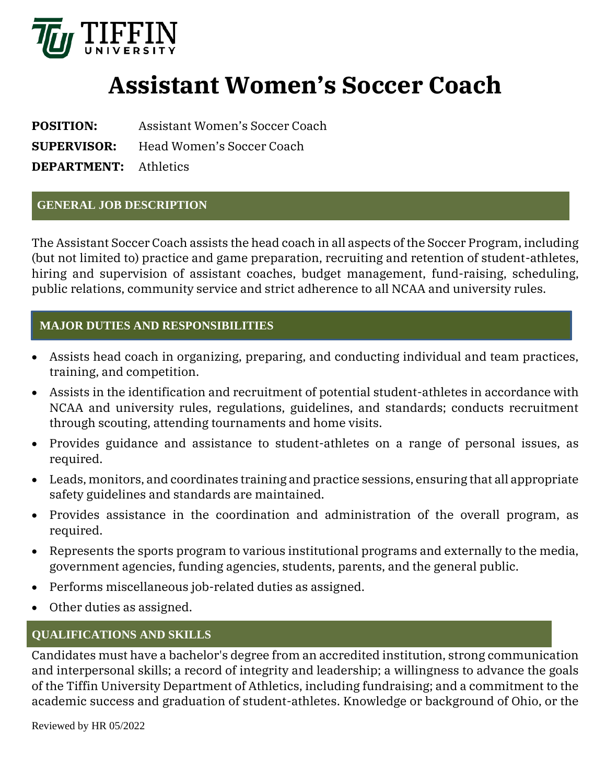

# **Assistant Women's Soccer Coach**

**POSITION:** Assistant Women's Soccer Coach

**SUPERVISOR:** Head Women's Soccer Coach

**DEPARTMENT:** Athletics

### **GENERAL JOB DESCRIPTION**

The Assistant Soccer Coach assists the head coach in all aspects of the Soccer Program, including (but not limited to) practice and game preparation, recruiting and retention of student-athletes, hiring and supervision of assistant coaches, budget management, fund-raising, scheduling, public relations, community service and strict adherence to all NCAA and university rules.

## **MAJOR DUTIES AND RESPONSIBILITIES**

- Assists head coach in organizing, preparing, and conducting individual and team practices, training, and competition.
- Assists in the identification and recruitment of potential student-athletes in accordance with NCAA and university rules, regulations, guidelines, and standards; conducts recruitment through scouting, attending tournaments and home visits.
- Provides guidance and assistance to student-athletes on a range of personal issues, as required.
- Leads, monitors, and coordinates training and practice sessions, ensuring that all appropriate safety guidelines and standards are maintained.
- Provides assistance in the coordination and administration of the overall program, as required.
- Represents the sports program to various institutional programs and externally to the media, government agencies, funding agencies, students, parents, and the general public.
- Performs miscellaneous job-related duties as assigned.
- Other duties as assigned.

# **QUALIFICATIONS AND SKILLS**

Candidates must have a bachelor's degree from an accredited institution, strong communication and interpersonal skills; a record of integrity and leadership; a willingness to advance the goals of the Tiffin University Department of Athletics, including fundraising; and a commitment to the academic success and graduation of student-athletes. Knowledge or background of Ohio, or the

Reviewed by HR 05/2022